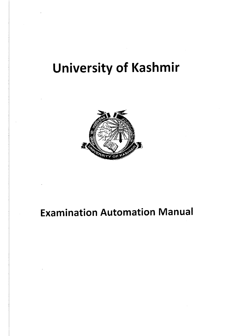# University of Kashmir



# **Examination Automation Manual**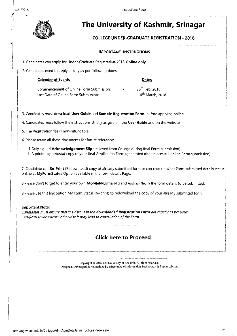

# **The University of Kashmir, Srinagar**

### **COLLEGE UNDER-GRADUATE REGISTRATION - 2018**

### **IMPORTANT INSTRUCTIONS**

1. Candidates can apply for Under-Graduate Registration-20l8 **Online only.** 

2. Candidates need to apply strictly as per following dates:

| <b>Calender of Events</b>               | <b>Dates</b>             |                              |
|-----------------------------------------|--------------------------|------------------------------|
| Commencement of Online Form Submission: | $\overline{\phantom{0}}$ | 26 <sup>th</sup> Feb. 2018   |
| Last Date of Online Form Submission:    |                          | 14 <sup>th</sup> March, 2018 |

3. Candidates must download **User Guide** and **Sample Registration Form** before applying online.

4. Candidates must follow the instructions strictly as given in the **User Guide** and on the website.

5. The Registration fee is non-refundable.

6. Please retain all these documents for future reference:

- i. Duly signed **Acknowledgement Slip** (recieved from College during final Form submission).
- ii. A printout/photostat copy of your final Application Form (generated after successful online Form submission).

7. Candidate can Re-Print (Redownload) copy of already submitted form or can check his/her Form submitted details status online at **MyFormStatus** Option available in the form details Page.

8.Please don't forget to enter your own **MobileNo,Email-ld** and **Aadhaar No.** in the form details to be submitted.

9.Please use this link option My Form Status(Re-print) to redownload the copy of your already submitted form.

### **Important Note:**

*Candidates must ensure that the details in the downloaded Registration Form are exactly as per your Certificates/Documents, otherwise it may lead to cancellation of the Form.* 

### **Click here to Proceed**

Copyright © 2016 The University of Kashmir. All right reserved ... Designed, Developed & Maintained by Directorate of Information Technology & Support System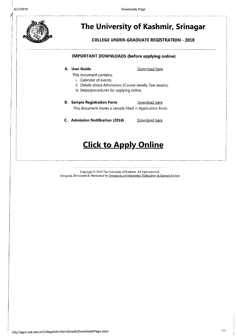

# **The University of Kashmir, Srinagar**

**COLLEGE UNDER-GRADUATE REGISTRATION - 2018** 

### **IMPORTANT DOWNLOADS (before applying online)**

### **A. User Guide**

-----------\_ ---------------------,

### Download here

- This document contains:
	- i. Calender of events.
	- ii. Details about Admissions (Course details, Fee details).
	- iii. Steps/procedures for applying online.

### **B.** Sample Registration Form **Download here** This document shows a sample filled in Application Form.

**C.** Admission Notification (2018) Download here

## **Click to Apply Online**

Copyright © 2016 The University of Kashmir. All right reserved. Designed, Developed & Maintained by Directorate of Information Technology & Support System

i.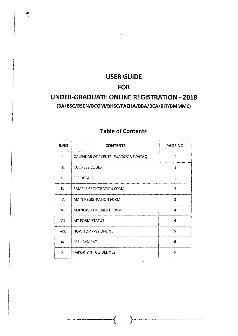# **USER GUIDE FOR**

 $^{\bullet}$  j

### **UNDER-GRADUATE ONLINE REGISTRATION - 2018 (BA/BSC/BSCN/BCOM/BHSC/FAZILA/BBA/BCA/BIT /BMMMC)**

| S.NO           | <b>CONTENTS</b>                      | PAGE NO.       |  |
|----------------|--------------------------------------|----------------|--|
| $\mathbf{I}$ . | CALENDAR OF EVENTS (IMPORTANT DATES) | $\mathbf{2}$   |  |
| 11.            | <b>COURSES CODES</b>                 | $\overline{2}$ |  |
| $\mathbf{H}$ . | <b>FEE DETAILS</b>                   | $\overline{2}$ |  |
| IV.            | SAMPLE REGISTRATION FORM             | 3              |  |
| V.             | <b>MAIN REGISTRATION FORM</b>        | 3              |  |
| VI.            | <b>ACKNOWLEDGEMENT FORM</b><br>4     |                |  |
| VII.           | <b>MY FORM STATUS</b>                | 4              |  |
| VIII.          | HOW TO APPLY ONLINE                  | 5              |  |
| IX.            | <b>FEE PAYMENT</b>                   | 6              |  |
| Χ.             | IMPORTANT GUIDELINES                 | 6              |  |

### **Table of Contents**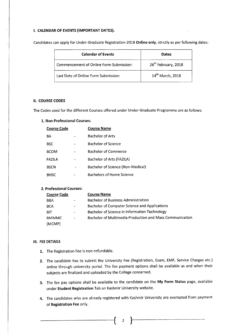### I. CALENDAR OF EVENTS (IMPORTANT DATES).

| <b>Calendar of Events</b>               | Dates                           |
|-----------------------------------------|---------------------------------|
| Commencement of Online Form Submission: | 26 <sup>th</sup> February, 2018 |
| Last Date of Online Form Submission:    | 14 <sup>th</sup> March, 2018    |

Candidates can apply for Under-Graduate Registration-2018 Online only, strictly as per following dates:

### II. COURSE CODES

The Codes used for the different Courses offered under Under-Graduate Programme are as follows:

### 1. Non-Professional Courses:

| <b>Course Code</b> | <b>Course Name</b>                |
|--------------------|-----------------------------------|
| BΑ                 | <b>Bachelor of Arts</b>           |
| BSC                | <b>Bachelor of Science</b>        |
| <b>BCOM</b>        | Bachelor of Commerce              |
| FAZILA             | Bachelor of Arts (FAZILA)         |
| <b>BSCN</b>        | Bachelor of Science (Non-Medical) |
| <b>BHSC</b>        | <b>Bachelors of Home Science</b>  |
|                    |                                   |

### 2. Professional Courses:

| Course Code  |                              | <b>Course Name</b>                                       |  |  |
|--------------|------------------------------|----------------------------------------------------------|--|--|
| BBA          | $\mathbf{m}$                 | <b>Bachelor of Business Administration</b>               |  |  |
| <b>BCA</b>   | $\qquad \qquad \blacksquare$ | Bachelor of Computer Science and Applications            |  |  |
| <b>BIT</b>   | $\blacksquare$               | Bachelor of Science in Information Technology            |  |  |
| <b>BMMMC</b> | $\blacksquare$               | Bachelor of Multimedia Production and Mass Communication |  |  |
| (MCMP)       |                              |                                                          |  |  |

### III. FEE DETAILS

- 1. The Registration Fee is non-refundable.
- 2. The candidate has to submit the University Fee (Registration, Exam, EMF, Service Charges etc.) online through university portal. The fee payment options shall be available as and when their subjects are finalized and uploaded by the College concerned.
- 3. The fee pay options shall be available to the candidate on the My Form Status page, available under Student Registration Tab on Kashmir University website.
- 4. The candidates who are already registered with Kashmir University are exempted from payment of Registration Fee only.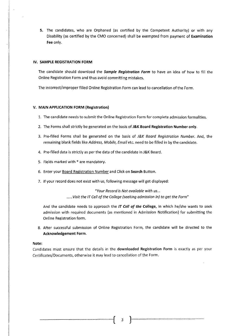5. The candidates, who are Orphaned (as certified by the Competent Authority) or with any Disability (as certified by the CMO concerned) shall be exempted from payment of Examination Fee only.

### IV. SAMPLE REGISTRATION FORM

The candidate should download the *Sample Registration Form* to have an idea of how to fill the Online Registration Form and thus avoid committing mistakes.

The incorrect/improper filled Online Registration Form can lead to cancellation of the Form.

#### V. MAIN APPLICATION FORM (Registration)

- 1. The candidate needs to submit the Online Registration Form for complete admission formalities.
- 2. The Forms shall strictly be generated on the basis of J&K Board Registration Number only.
- 3. Pre-filled Forms shall be generated on the basis of *J&K Board Registration Number.* And, the remaining blank fields like *Address, Mobile, Email* etc. need to be filled in by the candidate.
- 4. Pre-filled data is strictly as per the data of the candidate in J&K Board.
- 5. Fields marked with \* are mandatory.
- 6. Enter your Board Registration Number and Click on Search Button.
- 7. If your record does not exist with us, following message will get displayed:

*"Your Record is Not available with us ... ...... Visit the IT Cell of the College (seeking admission in) to get the Form"* 

And the candidate needs to approach the *IT Cell of the* College, in which he/she wants to seek admission with required documents (as mentioned in Admission Notification) for submitting the Online Registration form.

8. After successful submission of Online Registration Form, the candidate will be directed to the Acknowledgement Form.

### Note:

Candidates must ensure that the details in the downloaded Registration Form is exactly as per your Certificates/Documents, otherwise it may lead to cancellation of the Form.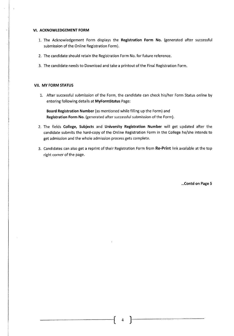### **VI. ACKNOWLEDGEMENT FORM**

- 1. The Acknowledgement Form displays the **Registration Form No.** (generated after successful submission of the Online Registration Form).
- 2. The candidate should retain the Registration Form No. for future reference.
- 3. The candidate needs to Download and take a printout of the Final Registration Form.

### **VII. MY FORM STATUS**

1. After successful submission of the Form, the candidate can check his/her Form Status online by entering following details at **MyFormStatus** Page:

**Board Registration Number** (as mentioned while filling up the Form) and **Registration Form No.** (generated after successful submission of the Form).

- 2. The fields **College, Subjects** and **University Registration Number** will get updated after the candidate submits the hard-copy of the Online Registration Form in the College he/she intends to get admission and the whole admission process gets complete.
- 3. Candidates can also get a reprint of their Registration Form from **Re-Print** link available at the top right corner of the page.

**. .. Contd on Page 5**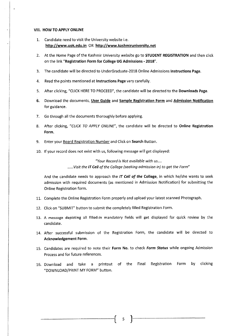#### VIII. HOW TO APPLY ONLINE

- 1. Candidate need to visit the University website i.e. http://www.uok.edu.in OR http://www.kashmiruniversity.net
- 2. At the Home Page of the Kashmir University website go to **STUDENT REGISTRATION** and then click on the link "Registration Form for College UG Admissions - 2018".
- 3. The candidate will be directed to UnderGraduate-20l8 Online Admissions Instructions Page.
- 4. Read the points mentioned at Instructions Page very carefully.
- 5. After clicking, "CLICK HERE TO PROCEED", the candidate will be directed to the Downloads Page.
- 6. Download the documents, User Guide and Sample Registration Form and Admission Notification for guidance.
- 7. Go through all the documents thoroughly before applying.
- 8. After clicking, *"CLICK TO APPLY ONLINE",* the candidate will be directed to Online Registration Form.
- 9. Enter your Board Registration Number and Click on Search Button.
- 10. If your record does not exist with us, following message will get displayed:

*"Your Record is Not available with us .... ...... Visit the IT Cell of the College (seeking admission in) to get the Form"* 

And the candidate needs to approach the *IT Cell of the* College, in which he/she wants to seek admission with required documents (as mentioned in Admission Notification) for submitting the Online Registration form.

- 11. Complete the Online Registration Form properly and upload your latest scanned Photograph.
- 12. Click on "SUBMIT" button to submit the completely filled Registration Form.
- 13. A message depicting all filled-in mandatory fields will get displayed for quick review by the candidate.
- 14. After successful submission of the Registration Form, the candidate will be directed to Acknowledgement Form.
- 15. Candidates are required to note their Form No. to check *Form Status* while ongoing Admission Process and for future references.
- 16. Download and take a printout of the Final Registration Form by clicking "DOWNLOAD/PRINT MY FORM" button.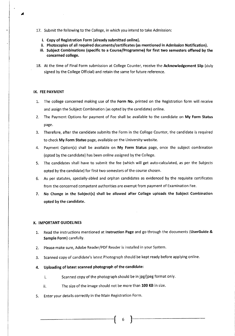- 17. Submit the following to the College, in which you intend to take Admission:
	- i. Copy of Registration Form (already submitted online).
	- ii. Photocopies of all required documents/certificates (as mentioned in Admission Notification).
	- iii. Subject Combinations (specific to a Course/Programme) for first two semesters offered by the concerned college.
- 18. At the time of Final Form submission at College Counter, receive the Acknowledgement Slip (duly signed by the College Official) and retain the same for future reference.

### IX. FEE PAYMENT

- 1. The college concerned making use of the Form No. printed on the Registration form will receive and assign the Subject Combination (as opted by the candidate) online.
- 2. The Payment Options for payment of Fee shall be available to the candidate on My Form Status page.
- 3. Therefore, after the candidate submits the Form in the College Counter, the candidate is required to check My Form Status page, available on the University website.
- 4. Payment Option(s) shall be available on My Form Status page, once the subject combination (opted by the candidate) has been online assigned by the College.
- 5. The candidates shall have to submit the fee (which will get auto-calculated, as per the Subjects opted by the candidate) for first two semesters of the course chosen.
- 6. As per statutes, specially-abled and orphan candidates as evidenced by the requisite certificates from the concerned competent authorities are exempt from payment of Examination Fee.
- 7. No Change in the Subject(s) shall be allowed after College uploads the Subject Combination opted by the candidate.

### X. IMPORTANT GUIDELINES

1. Read the instructions mentioned at Instruction Page and go through the documents (UserGuide & Sample Form) carefully.

- 2. Please make sure, Adobe Reader/PDF Reader is installed in your System.
- 3. Scanned copy of candidate's latest Photograph should be kept ready before applying online.
- 4. Uploading of latest scanned photograph of the candidate:
	- i. Scanned copy of the photograph should be in jpg/jpeg format only.
	- $ii.$  The size of the image should not be more than 100 KB in size.
- 5. Enter your details correctly in the Main Registration Form.